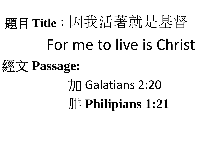## 題目 **Title**:因我活著就是基督

## For me to live is Christ

### 經文 **Passage:**

# 加 Galatians 2:20 腓 **Philipians 1:21**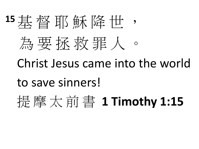# 15 其 督 耶 穌 降 世 為要 拆 救 罪 人

Christ Jesus came into the world

to save sinners!

提 摩 太 前 書 **1 Timothy 1:15**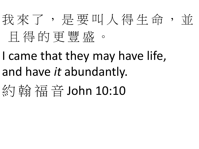

- I came that they may have life, and have *it* abundantly.
- 約 翰 福音 John 10:10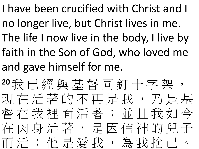I have been crucified with Christ and I no longer live, but Christ lives in me. The life I now live in the body, I live by faith in the Son of God, who loved me and gave himself for me.

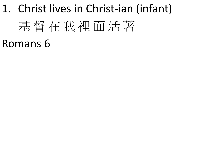## 1. Christ lives in Christ-ian (infant) 基 督 在 我 裡 面 活 著 Romans 6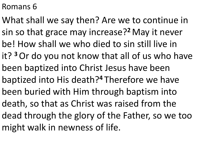#### Romans 6

What shall we say then? Are we to continue in sin so that grace may increase?**<sup>2</sup>**May it never be! How shall we who died to sin still live in it? **<sup>3</sup>**Or do you not know that all of us who have been baptized into Christ Jesus have been baptized into His death?**<sup>4</sup>** Therefore we have been buried with Him through baptism into death, so that as Christ was raised from the dead through the glory of the Father, so we too might walk in newness of life.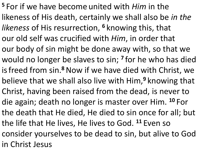**<sup>5</sup>** For if we have become united with *Him* in the likeness of His death, certainly we shall also be *in the likeness* of His resurrection, **<sup>6</sup>** knowing this, that our old self was crucified with *Him*, in order that our body of sin might be done away with, so that we would no longer be slaves to sin; **<sup>7</sup>** for he who has died isfreed from sin.**<sup>8</sup>**Now if we have died with Christ, we believe that we shall also live with Him,**<sup>9</sup>** knowing that Christ, having been raised from the dead, is never to die again; death no longer is master over Him. **<sup>10</sup>** For the death that He died, He died to sin once for all; but the life that He lives, He lives to God. **<sup>11</sup>** Even so consider yourselves to be dead to sin, but alive to God in Christ Jesus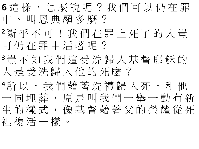**6** 這 樣 , 怎 麼 說 呢 ? 我 們 可 以 仍 在 罪 中、叫恩典顯多麼?

**<sup>2</sup>**斷 乎 不 可 ! 我 們 在 罪 上 死 了 的 人 豈 可 仍 在 罪 中 活 著 呢 ?

**<sup>3</sup>**豈 不 知 我 們 這 受 洗 歸 入 基 督 耶 穌 的 人 是 受 洗 歸 入 他 的 死 麼 ?

**<sup>4</sup>**所 以 , 我 們 藉 著 洗 禮 歸 入 死 , 和 他 一 同 埋 葬 , 原 是 叫 我 們 一 舉 一 動 有 新 生的樣式, 像基督藉著父的榮耀從死 裡 復 活 一 樣 。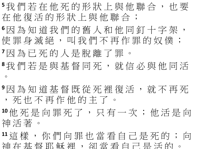**<sup>5</sup>**我 們 若 在 他 死 的 形 狀 上 與 他 聯 合 , 也 要 在他復活的形狀上與他聯合;

**<sup>6</sup>**因 為 知 道 我 們 的 舊 人 和 他 同 釘 十 字 架 , 使 罪 身 滅 絕 , 叫 我 們 不 再 作 罪 的 奴 僕 ;

**<sup>7</sup>**因 為 已 死 的 人 是 脫 離 了 罪 。

**<sup>8</sup>**我 們 若 是 與 基 督 同 死 , 就 信 必 與 他 同 活  $\circ$ 

**<sup>9</sup>**因 為 知 道 基 督 既 從 死 裡 復 活 , 就 不 再 死 , 死 也 不 再 作 他 的 主 了 。

**<sup>10</sup>**他 死 是 向 罪 死 了 , 只 有 一 次 ; 他 活 是 向 神 活 著 。

**<sup>11</sup>**這 樣 , 你 們 向 罪 也 當 看 自 己 是 死 的 ; 向 神 在 基 督 耶 穌 裡 , 卻 當 看 自 己 是 活 的 。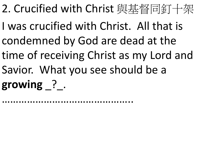- 2. Crucified with Christ 與基督同釘十架
- I was crucified with Christ. All that is condemned by God are dead at the
- time of receiving Christ as my Lord and
- Savior. What you see should be a
- **growing** \_?\_.

………………………………………..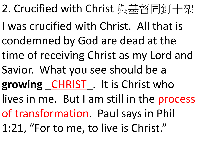- 2. Crucified with Christ 與基督同釘十架
- I was crucified with Christ. All that is condemned by God are dead at the
- time of receiving Christ as my Lord and
- Savior. What you see should be a
- growing CHRIST. It is Christ who
- lives in me. But I am still in the process
- of transformation. Paul says in Phil
- 1:21, "For to me, to live is Christ."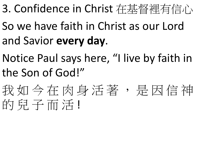- 3. Confidence in Christ 在基督裡有信心
- So we have faith in Christ as our Lord and Savior **every day**.
- Notice Paul says here, "I live by faith in the Son of God!"
- 我如今在肉身活著,是因信神 的兒子而活!